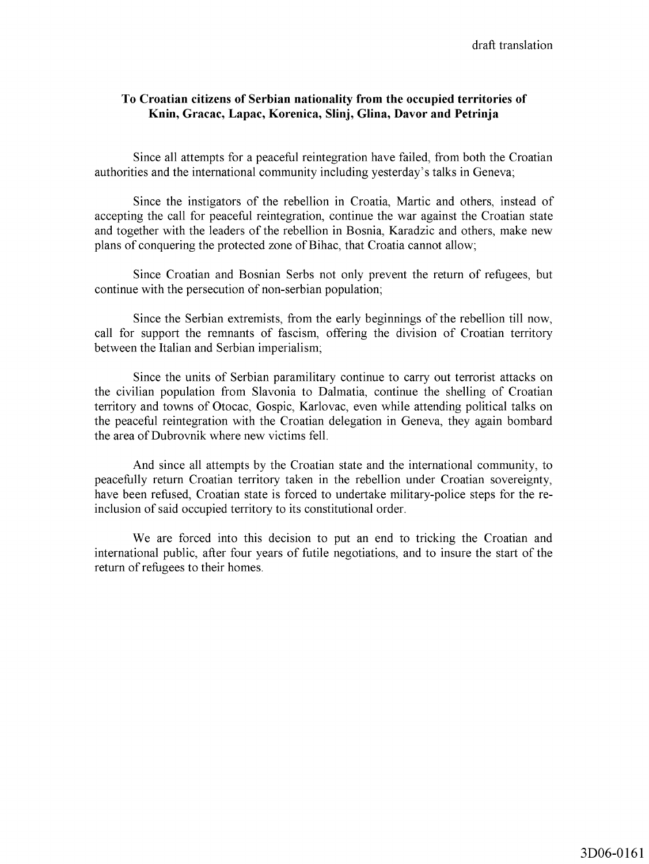## **To Croatian citizens of Serbian nationality from the occupied territories of Knin, Gracac, Lapac, Korenica, Slinj, Glina, Davor and Petrinja**

Since all attempts for a peaceful reintegration have failed, from both the Croatian authorities and the international community including yesterday's talks in Geneva;

Since the instigators of the rebellion in Croatia, Martic and others, instead of accepting the call for peaceful reintegration, continue the war against the Croatian state and together with the leaders of the rebellion in Bosnia, Karadzic and others, make new plans of conquering the protected zone of Bihac, that Croatia cannot allow;

Since Croatian and Bosnian Serbs not only prevent the return of refugees, but continue with the persecution of non-serbian population;

Since the Serbian extremists, from the early beginnings of the rebellion till now, call for support the remnants of fascism, offering the division of Croatian territory between the Italian and Serbian imperialism;

Since the units of Serbian paramilitary continue to carry out terrorist attacks on the civilian population from Slavonia to Dalmatia, continue the shelling of Croatian territory and towns of Otocac, Gospic, Karlovac, even while attending political talks on the peaceful reintegration with the Croatian delegation in Geneva, they again bombard the area of Dubrovnik where new victims fell.

And since all attempts by the Croatian state and the international community, to peacefully return Croatian territory taken in the rebellion under Croatian sovereignty, have been refused, Croatian state is forced to undertake military-police steps for the reinclusion of said occupied territory to its constitutional order.

We are forced into this decision to put an end to tricking the Croatian and international public, after four years of futile negotiations, and to insure the start of the return of refugees to their homes.